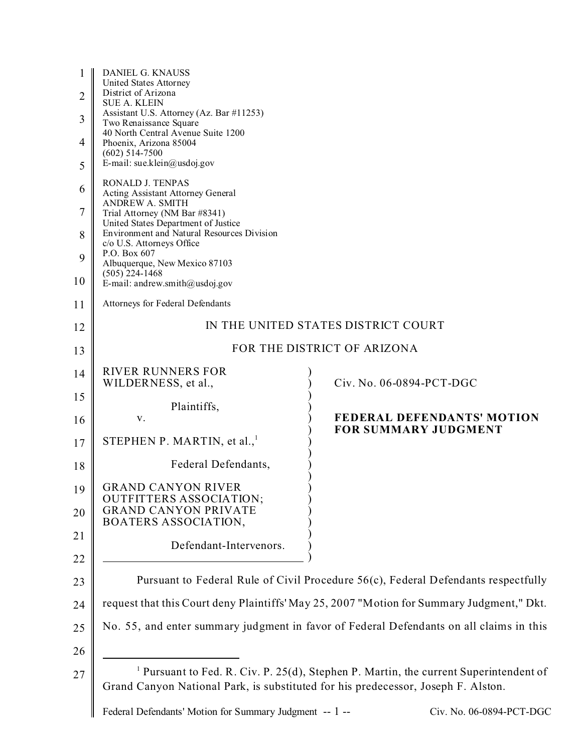| 1              | DANIEL G. KNAUSS<br>United States Attorney                                                |                                                                                                  |  |
|----------------|-------------------------------------------------------------------------------------------|--------------------------------------------------------------------------------------------------|--|
| $\overline{2}$ | District of Arizona<br><b>SUE A. KLEIN</b>                                                |                                                                                                  |  |
| 3              | Assistant U.S. Attorney (Az. Bar #11253)<br>Two Renaissance Square                        |                                                                                                  |  |
| 4              | 40 North Central Avenue Suite 1200<br>Phoenix, Arizona 85004<br>$(602)$ 514-7500          |                                                                                                  |  |
| 5              | E-mail: sue.klein@usdoj.gov                                                               |                                                                                                  |  |
| 6              | RONALD J. TENPAS<br><b>Acting Assistant Attorney General</b><br><b>ANDREW A. SMITH</b>    |                                                                                                  |  |
| 7              | Trial Attorney (NM Bar #8341)<br>United States Department of Justice                      |                                                                                                  |  |
| 8              | Environment and Natural Resources Division<br>c/o U.S. Attorneys Office                   |                                                                                                  |  |
| 9              | P.O. Box 607<br>Albuquerque, New Mexico 87103<br>$(505)$ 224-1468                         |                                                                                                  |  |
| 10             | E-mail: andrew.smith@usdoj.gov                                                            |                                                                                                  |  |
| 11             | Attorneys for Federal Defendants                                                          |                                                                                                  |  |
| 12             | IN THE UNITED STATES DISTRICT COURT                                                       |                                                                                                  |  |
| 13             | FOR THE DISTRICT OF ARIZONA                                                               |                                                                                                  |  |
| 14             | <b>RIVER RUNNERS FOR</b><br>WILDERNESS, et al.,                                           | Civ. No. 06-0894-PCT-DGC                                                                         |  |
| 15             | Plaintiffs,                                                                               |                                                                                                  |  |
| 16             | V.                                                                                        | <b>FEDERAL DEFENDANTS' MOTION</b><br><b>FOR SUMMARY JUDGMENT</b>                                 |  |
| 17             | STEPHEN P. MARTIN, et al., $1$                                                            |                                                                                                  |  |
| 18             | Federal Defendants,                                                                       |                                                                                                  |  |
| 19             | <b>GRAND CANYON RIVER</b><br><b>OUTFITTERS ASSOCIATION;</b>                               |                                                                                                  |  |
| 20             | <b>GRAND CANYON PRIVATE</b><br>BOATERS ASSOCIATION,                                       |                                                                                                  |  |
| 21             | Defendant-Intervenors.                                                                    |                                                                                                  |  |
| 22             |                                                                                           |                                                                                                  |  |
| 23             | Pursuant to Federal Rule of Civil Procedure 56(c), Federal Defendants respectfully        |                                                                                                  |  |
| 24             | request that this Court deny Plaintiffs' May 25, 2007 "Motion for Summary Judgment," Dkt. |                                                                                                  |  |
| 25             |                                                                                           | No. 55, and enter summary judgment in favor of Federal Defendants on all claims in this          |  |
| 26             |                                                                                           |                                                                                                  |  |
| 27             | Grand Canyon National Park, is substituted for his predecessor, Joseph F. Alston.         | <sup>1</sup> Pursuant to Fed. R. Civ. P. 25(d), Stephen P. Martin, the current Superintendent of |  |

Federal Defendants' Motion for Summary Judgment -- 1 -- Civ. No. 06-0894-PCT-DGC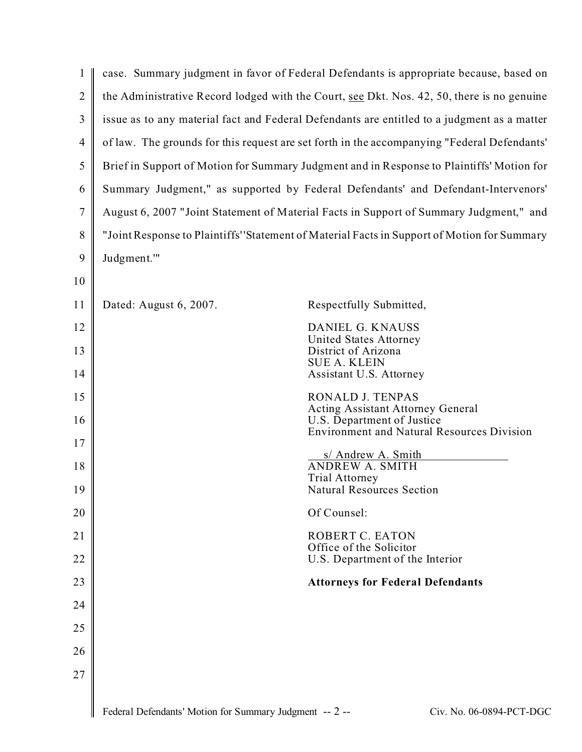| 1              |                                                                                             | case. Summary judgment in favor of Federal Defendants is appropriate because, based on                                      |  |
|----------------|---------------------------------------------------------------------------------------------|-----------------------------------------------------------------------------------------------------------------------------|--|
| $\overline{2}$ | the Administrative Record lodged with the Court, see Dkt. Nos. 42, 50, there is no genuine  |                                                                                                                             |  |
| 3              | issue as to any material fact and Federal Defendants are entitled to a judgment as a matter |                                                                                                                             |  |
| $\overline{4}$ | of law. The grounds for this request are set forth in the accompanying "Federal Defendants' |                                                                                                                             |  |
| 5              | Brief in Support of Motion for Summary Judgment and in Response to Plaintiffs' Motion for   |                                                                                                                             |  |
| 6              | Summary Judgment," as supported by Federal Defendants' and Defendant-Intervenors'           |                                                                                                                             |  |
| 7              | August 6, 2007 "Joint Statement of Material Facts in Support of Summary Judgment," and      |                                                                                                                             |  |
| 8              | "Joint Response to Plaintiffs''Statement of Material Facts in Support of Motion for Summary |                                                                                                                             |  |
| 9              | Judgment.""                                                                                 |                                                                                                                             |  |
| 10             |                                                                                             |                                                                                                                             |  |
| 11             | Dated: August 6, 2007.                                                                      | Respectfully Submitted,                                                                                                     |  |
| 12             |                                                                                             | DANIEL G. KNAUSS                                                                                                            |  |
| 13             |                                                                                             | United States Attorney<br>District of Arizona                                                                               |  |
| 14             |                                                                                             | <b>SUE A. KLEIN</b><br>Assistant U.S. Attorney                                                                              |  |
| 15             |                                                                                             | RONALD J. TENPAS                                                                                                            |  |
| 16             |                                                                                             | <b>Acting Assistant Attorney General</b><br>U.S. Department of Justice<br><b>Environment and Natural Resources Division</b> |  |
| 17             |                                                                                             |                                                                                                                             |  |
| 18             |                                                                                             | s/ Andrew A. Smith<br><b>ANDREW A. SMITH</b>                                                                                |  |
| 19             |                                                                                             | <b>Trial Attorney</b><br><b>Natural Resources Section</b>                                                                   |  |
| 20             |                                                                                             | Of Counsel:                                                                                                                 |  |
| 21             |                                                                                             | ROBERT C. EATON                                                                                                             |  |
| 22             |                                                                                             | Office of the Solicitor<br>U.S. Department of the Interior                                                                  |  |
| 23             |                                                                                             | <b>Attorneys for Federal Defendants</b>                                                                                     |  |
| 24             |                                                                                             |                                                                                                                             |  |
| 25             |                                                                                             |                                                                                                                             |  |
| 26             |                                                                                             |                                                                                                                             |  |
| 27             |                                                                                             |                                                                                                                             |  |
|                |                                                                                             |                                                                                                                             |  |